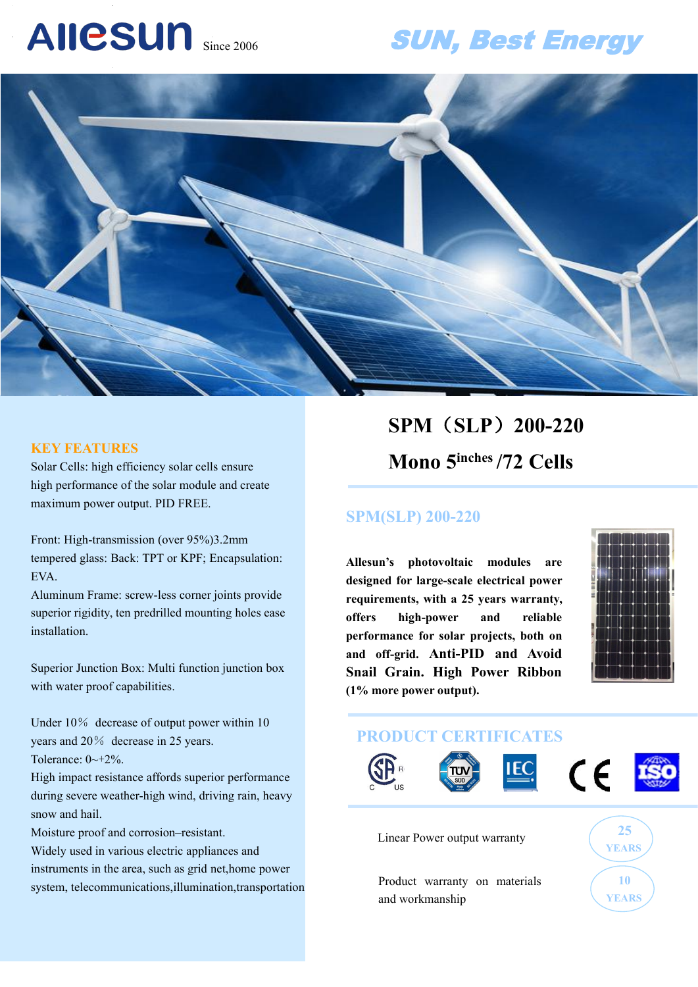# AIICSUN Since 2006

# SUN, Best Energy



#### **KEY FEATURES**

Solar Cells: high efficiency solar cells ensure high performance of the solar module and create maximum power output. PID FREE.

Front: High-transmission (over 95%)3.2mm tempered glass: Back: TPT or KPF; Encapsulation: EVA.

Aluminum Frame: screw-less corner joints provide superior rigidity, ten predrilled mounting holes ease **offers** installation.

Superior Junction Box: Multi function junction box with water proof capabilities.

Under 10% decrease of output power within 10 years and 20% decrease in 25 years. Tolerance:  $0 \rightarrow +2\%$ .

High impact resistance affords superior performance during severe weather-high wind, driving rain, heavy snow and hail.

Moisture proof and corrosion–resistant.

Widely used in various electric appliances and instruments in the area, such as grid net,home power system, telecommunications,illumination,transportation

# **SPM**(**SLP**)**200-220 Mono 5 inches /72 Cells**

### **SPM(SLP) 200-220**

**Allesun's photovoltaic modules are designed for large-scale electrical power requirements, with a 25 years warranty, offers high-power and reliable performance for solar projects, both on and off-grid. Anti-PID and Avoid Snail Grain. High Power Ribbon (1% more power output).**



## **PRODUCT CERTIFICATES**



Linear Power output warranty  $\sqrt{25}$ 



Product warranty on materials (10 and workmanship